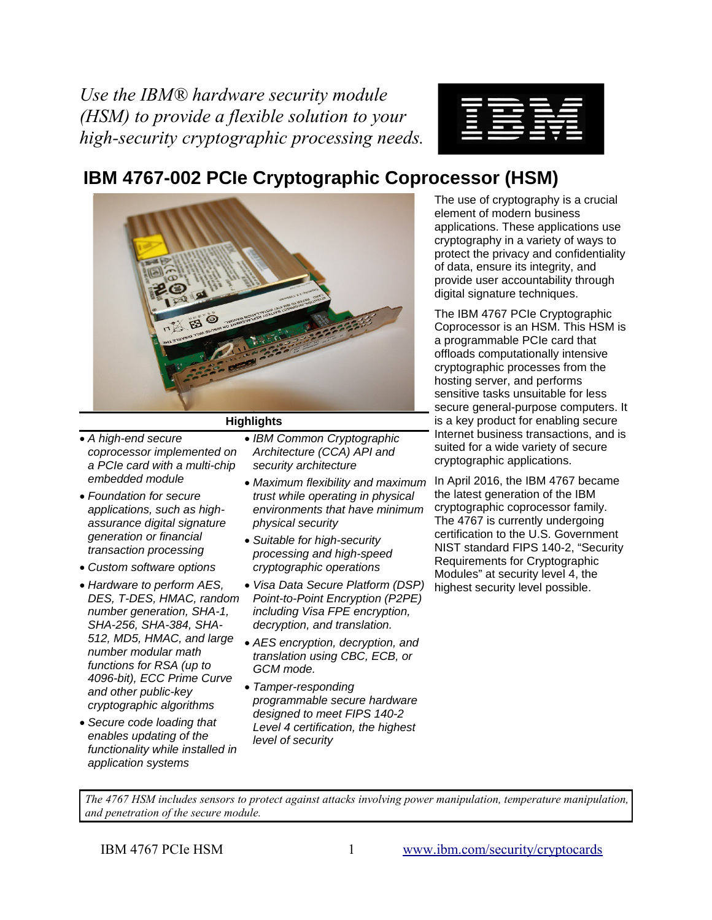*Use the IBM® hardware security module (HSM) to provide a flexible solution to your high-security cryptographic processing needs.*



# **IBM 4767-002 PCIe Cryptographic Coprocessor (HSM)**



## **Highlights**

- *A high-end secure coprocessor implemented on a PCIe card with a multi-chip embedded module*
- *Foundation for secure applications, such as highassurance digital signature generation or financial transaction processing*
- *Custom software options*
- *Hardware to perform AES, DES, T-DES, HMAC, random number generation, SHA-1, SHA-256, SHA-384, SHA-512, MD5, HMAC, and large number modular math functions for RSA (up to 4096-bit), ECC Prime Curve and other public-key cryptographic algorithms*
- *Secure code loading that enables updating of the functionality while installed in application systems*
- *IBM Common Cryptographic Architecture (CCA) API and security architecture*
- *Maximum flexibility and maximum trust while operating in physical environments that have minimum physical security*
- *Suitable for high-security processing and high-speed cryptographic operations*
- *Visa Data Secure Platform (DSP) Point-to-Point Encryption (P2PE) including Visa FPE encryption, decryption, and translation.*
- *AES encryption, decryption, and translation using CBC, ECB, or GCM mode.*
- *Tamper-responding programmable secure hardware designed to meet FIPS 140-2 Level 4 certification, the highest level of security*

The use of cryptography is a crucial element of modern business applications. These applications use cryptography in a variety of ways to protect the privacy and confidentiality of data, ensure its integrity, and provide user accountability through digital signature techniques.

The IBM 4767 PCIe Cryptographic Coprocessor is an HSM. This HSM is a programmable PCIe card that offloads computationally intensive cryptographic processes from the hosting server, and performs sensitive tasks unsuitable for less secure general-purpose computers. It is a key product for enabling secure Internet business transactions, and is suited for a wide variety of secure cryptographic applications.

In April 2016, the IBM 4767 became the latest generation of the IBM cryptographic coprocessor family. The 4767 is currently undergoing certification to the U.S. Government NIST standard FIPS 140-2, "Security Requirements for Cryptographic Modules" at security level 4, the highest security level possible.

*The 4767 HSM includes sensors to protect against attacks involving power manipulation, temperature manipulation, and penetration of the secure module.*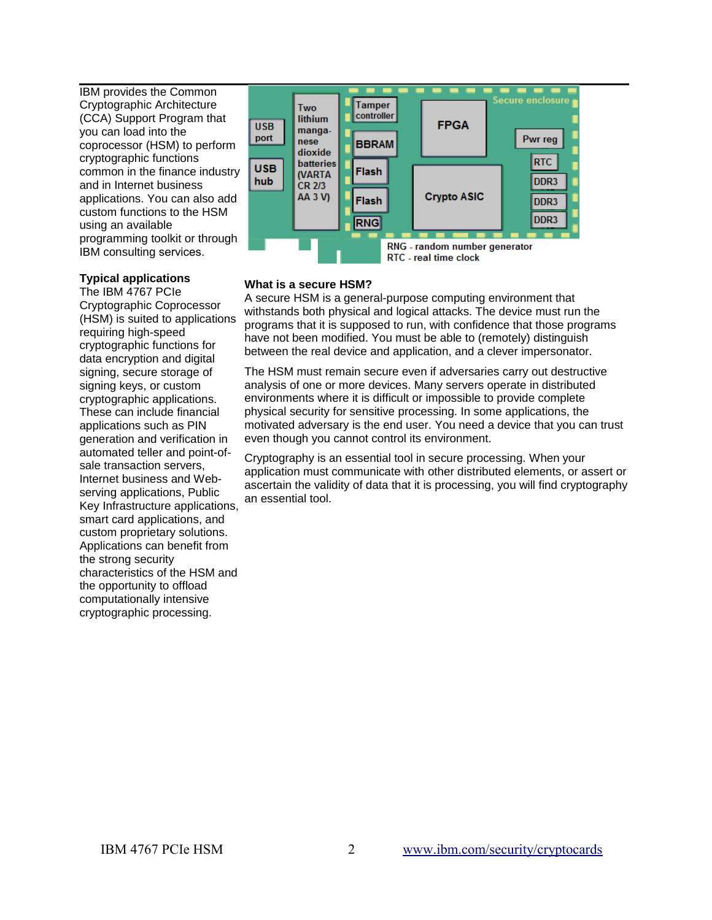IBM provides the Common Cryptographic Architecture (CCA) Support Program that you can load into the coprocessor (HSM) to perform cryptographic functions common in the finance industry and in Internet business applications. You can also add custom functions to the HSM using an available programming toolkit or through IBM consulting services.

## **Typical applications**

The IBM 4767 PCIe Cryptographic Coprocessor (HSM) is suited to applications requiring high-speed cryptographic functions for data encryption and digital signing, secure storage of signing keys, or custom cryptographic applications. These can include financial applications such as PIN generation and verification in automated teller and point-ofsale transaction servers, Internet business and Webserving applications, Public Key Infrastructure applications, smart card applications, and custom proprietary solutions. Applications can benefit from the strong security characteristics of the HSM and the opportunity to offload computationally intensive cryptographic processing.



# **What is a secure HSM?**

A secure HSM is a general-purpose computing environment that withstands both physical and logical attacks. The device must run the programs that it is supposed to run, with confidence that those programs have not been modified. You must be able to (remotely) distinguish between the real device and application, and a clever impersonator.

The HSM must remain secure even if adversaries carry out destructive analysis of one or more devices. Many servers operate in distributed environments where it is difficult or impossible to provide complete physical security for sensitive processing. In some applications, the motivated adversary is the end user. You need a device that you can trust even though you cannot control its environment.

Cryptography is an essential tool in secure processing. When your application must communicate with other distributed elements, or assert or ascertain the validity of data that it is processing, you will find cryptography an essential tool.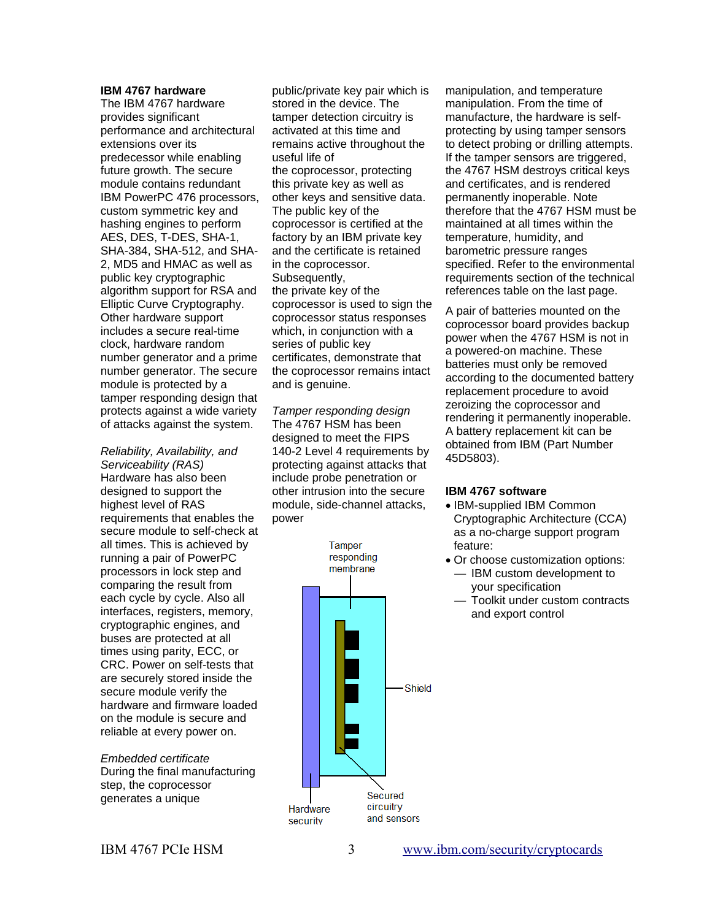#### **IBM 4767 hardware**

The IBM 4767 hardware provides significant performance and architectural extensions over its predecessor while enabling future growth. The secure module contains redundant IBM PowerPC 476 processors, custom symmetric key and hashing engines to perform AES, DES, T-DES, SHA-1, SHA-384, SHA-512, and SHA-2, MD5 and HMAC as well as public key cryptographic algorithm support for RSA and Elliptic Curve Cryptography. Other hardware support includes a secure real-time clock, hardware random number generator and a prime number generator. The secure module is protected by a tamper responding design that protects against a wide variety of attacks against the system.

*Reliability, Availability, and Serviceability (RAS)* Hardware has also been designed to support the highest level of RAS requirements that enables the secure module to self-check at all times. This is achieved by running a pair of PowerPC processors in lock step and comparing the result from each cycle by cycle. Also all interfaces, registers, memory, cryptographic engines, and buses are protected at all times using parity, ECC, or CRC. Power on self-tests that are securely stored inside the secure module verify the hardware and firmware loaded on the module is secure and reliable at every power on.

*Embedded certificate* During the final manufacturing step, the coprocessor generates a unique

public/private key pair which is stored in the device. The tamper detection circuitry is activated at this time and remains active throughout the useful life of the coprocessor, protecting this private key as well as other keys and sensitive data. The public key of the coprocessor is certified at the factory by an IBM private key and the certificate is retained in the coprocessor. Subsequently, the private key of the coprocessor is used to sign the coprocessor status responses which, in conjunction with a series of public key certificates, demonstrate that the coprocessor remains intact and is genuine.

*Tamper responding design* The 4767 HSM has been designed to meet the FIPS 140-2 Level 4 requirements by protecting against attacks that include probe penetration or other intrusion into the secure module, side-channel attacks, power

> Tamper responding membrane **Shield** Secured circuitry Hardware and sensors security

manipulation, and temperature manipulation. From the time of manufacture, the hardware is selfprotecting by using tamper sensors to detect probing or drilling attempts. If the tamper sensors are triggered, the 4767 HSM destroys critical keys and certificates, and is rendered permanently inoperable. Note therefore that the 4767 HSM must be maintained at all times within the temperature, humidity, and barometric pressure ranges specified. Refer to the environmental requirements section of the technical references table on the last page.

A pair of batteries mounted on the coprocessor board provides backup power when the 4767 HSM is not in a powered-on machine. These batteries must only be removed according to the documented battery replacement procedure to avoid zeroizing the coprocessor and rendering it permanently inoperable. A battery replacement kit can be obtained from IBM (Part Number 45D5803).

## **IBM 4767 software**

- IBM-supplied IBM Common Cryptographic Architecture (CCA) as a no-charge support program feature:
- Or choose customization options: *—* IBM custom development to your specification
	- *—* Toolkit under custom contracts and export control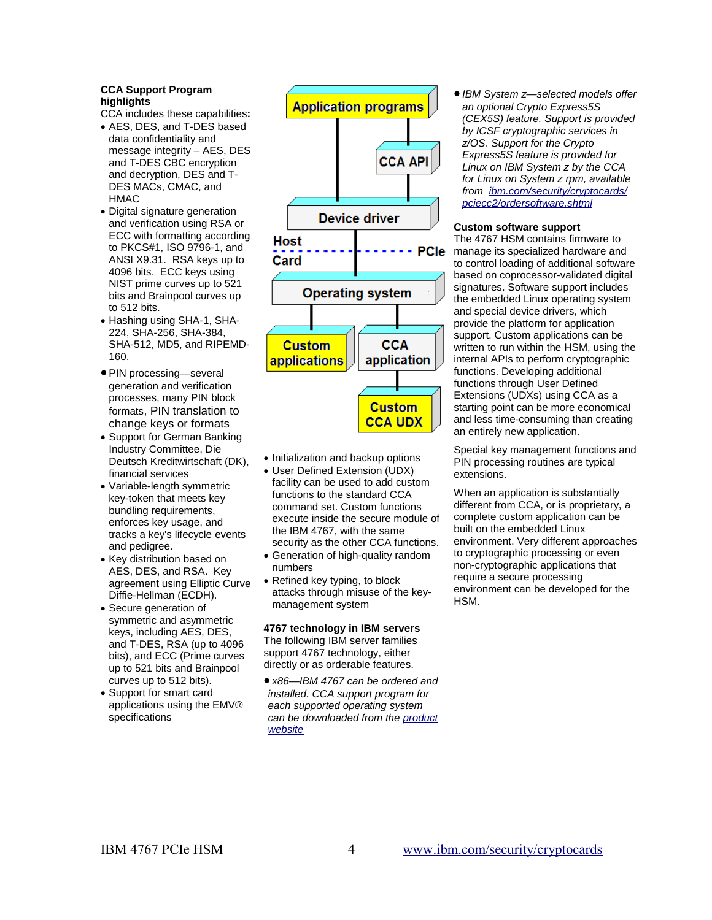#### **CCA Support Program highlights**

- CCA includes these capabilities**:**
- AES, DES, and T-DES based data confidentiality and message integrity – AES, DES and T-DES CBC encryption and decryption, DES and T-DES MACs, CMAC, and HMAC
- Digital signature generation and verification using RSA or ECC with formatting according to PKCS#1, ISO 9796-1, and ANSI X9.31. RSA keys up to 4096 bits. ECC keys using NIST prime curves up to 521 bits and Brainpool curves up to 512 bits.
- Hashing using SHA-1, SHA-224, SHA-256, SHA-384, SHA-512, MD5, and RIPEMD-160.
- PIN processing—several generation and verification processes, many PIN block formats, PIN translation to change keys or formats
- Support for German Banking Industry Committee, Die Deutsch Kreditwirtschaft (DK), financial services
- Variable-length symmetric key-token that meets key bundling requirements, enforces key usage, and tracks a key's lifecycle events and pedigree.
- Key distribution based on AES, DES, and RSA. Key agreement using Elliptic Curve Diffie-Hellman (ECDH).
- Secure generation of symmetric and asymmetric keys, including AES, DES, and T-DES, RSA (up to 4096 bits), and ECC (Prime curves up to 521 bits and Brainpool curves up to 512 bits).
- Support for smart card applications using the EMV® specifications



- Initialization and backup options
- User Defined Extension (UDX) facility can be used to add custom functions to the standard CCA command set. Custom functions execute inside the secure module of the IBM 4767, with the same security as the other CCA functions.
- Generation of high-quality random numbers
- Refined key typing, to block attacks through misuse of the keymanagement system

**4767 technology in IBM servers** The following IBM server families support 4767 technology, either directly or as orderable features.

 *x86—IBM 4767 can be ordered and installed. CCA support program for each supported operating system can be downloaded from the product website*

 *IBM System z—selected models offer an optional Crypto Express5S (CEX5S) feature. Support is provided by ICSF cryptographic services in z/OS. Support for the Crypto Express5S feature is provided for Linux on IBM System z by the CCA for Linux on System z rpm, available from ibm.com/security/cryptocards/ pciecc2/ordersoftware.shtml*

## **Custom software support**

The 4767 HSM contains firmware to manage its specialized hardware and to control loading of additional software based on coprocessor-validated digital signatures. Software support includes the embedded Linux operating system and special device drivers, which provide the platform for application support. Custom applications can be written to run within the HSM, using the internal APIs to perform cryptographic functions. Developing additional functions through User Defined Extensions (UDXs) using CCA as a starting point can be more economical and less time-consuming than creating an entirely new application.

Special key management functions and PIN processing routines are typical extensions.

When an application is substantially different from CCA, or is proprietary, a complete custom application can be built on the embedded Linux environment. Very different approaches to cryptographic processing or even non-cryptographic applications that require a secure processing environment can be developed for the HSM.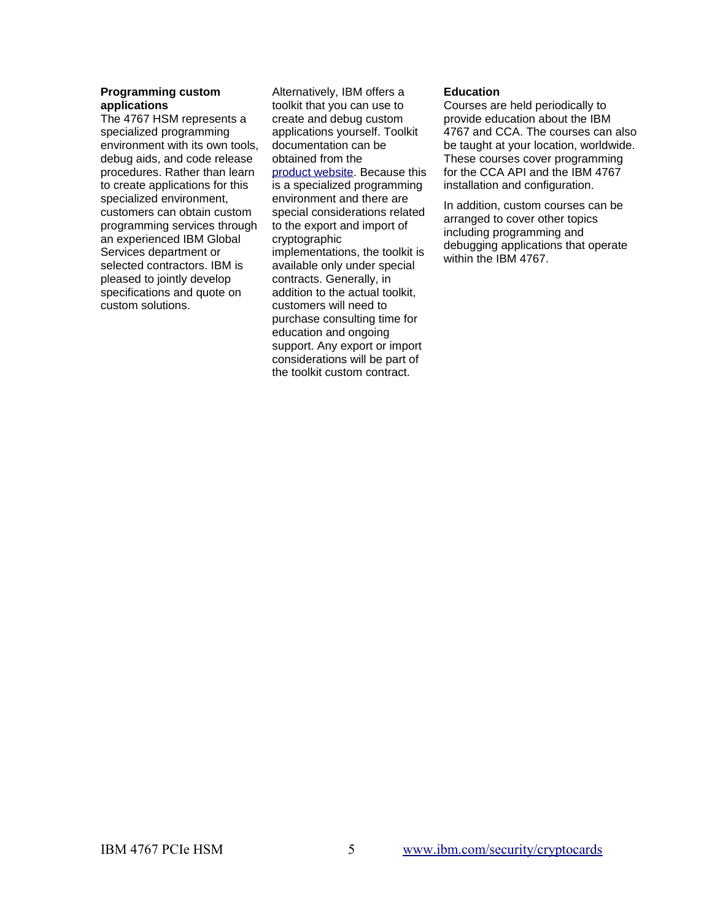## **Programming custom** Alternatively, IBM offers a **Education applications**

The 4767 HSM represents a specialized programming environment with its own tools, debug aids, and code release procedures. Rather than learn to create applications for this specialized environment, customers can obtain custom programming services through an experienced IBM Global Services department or selected contractors. IBM is pleased to jointly develop specifications and quote on custom solutions.

toolkit that you can use to create and debug custom applications yourself. Toolkit documentation can be obtained from the product website. Because this is a specialized programming environment and there are special considerations related to the export and import of cryptographic implementations, the toolkit is available only under special contracts. Generally, in addition to the actual toolkit, customers will need to purchase consulting time for education and ongoing support. Any export or import considerations will be part of the toolkit custom contract.

## **Education**

Courses are held periodically to provide education about the IBM 4767 and CCA. The courses can also be taught at your location, worldwide. These courses cover programming for the CCA API and the IBM 4767 installation and configuration.

In addition, custom courses can be arranged to cover other topics including programming and debugging applications that operate within the IBM 4767.